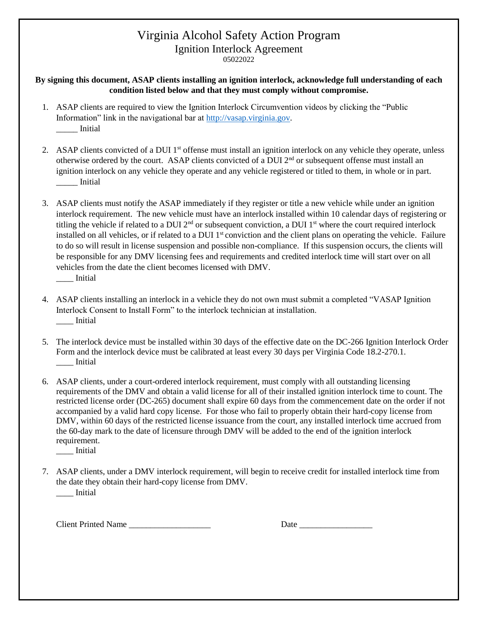## Virginia Alcohol Safety Action Program Ignition Interlock Agreement

05022022

## **By signing this document, ASAP clients installing an ignition interlock, acknowledge full understanding of each condition listed below and that they must comply without compromise.**

- 1. ASAP clients are required to view the Ignition Interlock Circumvention videos by clicking the "Public Information" link in the navigational bar at [http://vasap.virginia.gov.](http://vasap.virginia.gov/) \_\_\_\_\_ Initial
- 2. ASAP clients convicted of a DUI 1<sup>st</sup> offense must install an ignition interlock on any vehicle they operate, unless otherwise ordered by the court. ASAP clients convicted of a DUI 2nd or subsequent offense must install an ignition interlock on any vehicle they operate and any vehicle registered or titled to them, in whole or in part. \_\_\_\_\_ Initial
- 3. ASAP clients must notify the ASAP immediately if they register or title a new vehicle while under an ignition interlock requirement. The new vehicle must have an interlock installed within 10 calendar days of registering or titling the vehicle if related to a DUI  $2<sup>nd</sup>$  or subsequent conviction, a DUI  $1<sup>st</sup>$  where the court required interlock installed on all vehicles, or if related to a DUI 1<sup>st</sup> conviction and the client plans on operating the vehicle. Failure to do so will result in license suspension and possible non-compliance. If this suspension occurs, the clients will be responsible for any DMV licensing fees and requirements and credited interlock time will start over on all vehicles from the date the client becomes licensed with DMV. \_\_\_\_ Initial
- 4. ASAP clients installing an interlock in a vehicle they do not own must submit a completed "VASAP Ignition Interlock Consent to Install Form" to the interlock technician at installation. \_\_\_\_ Initial
- 5. The interlock device must be installed within 30 days of the effective date on the DC-266 Ignition Interlock Order Form and the interlock device must be calibrated at least every 30 days per Virginia Code 18.2-270.1. \_\_\_\_ Initial
- 6. ASAP clients, under a court-ordered interlock requirement, must comply with all outstanding licensing requirements of the DMV and obtain a valid license for all of their installed ignition interlock time to count. The restricted license order (DC-265) document shall expire 60 days from the commencement date on the order if not accompanied by a valid hard copy license. For those who fail to properly obtain their hard-copy license from DMV, within 60 days of the restricted license issuance from the court, any installed interlock time accrued from the 60-day mark to the date of licensure through DMV will be added to the end of the ignition interlock requirement.
	- \_\_\_\_ Initial
- 7. ASAP clients, under a DMV interlock requirement, will begin to receive credit for installed interlock time from the date they obtain their hard-copy license from DMV. \_\_\_\_ Initial

Client Printed Name \_\_\_\_\_\_\_\_\_\_\_\_\_\_\_\_\_\_\_ Date \_\_\_\_\_\_\_\_\_\_\_\_\_\_\_\_\_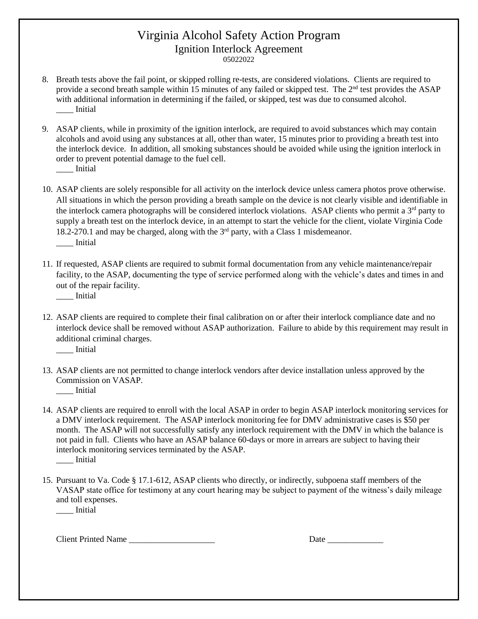## Virginia Alcohol Safety Action Program Ignition Interlock Agreement

05022022

- 8. Breath tests above the fail point, or skipped rolling re-tests, are considered violations. Clients are required to provide a second breath sample within 15 minutes of any failed or skipped test. The 2nd test provides the ASAP with additional information in determining if the failed, or skipped, test was due to consumed alcohol. \_\_\_\_ Initial
- 9. ASAP clients, while in proximity of the ignition interlock, are required to avoid substances which may contain alcohols and avoid using any substances at all, other than water, 15 minutes prior to providing a breath test into the interlock device. In addition, all smoking substances should be avoided while using the ignition interlock in order to prevent potential damage to the fuel cell. \_\_\_\_ Initial
- 10. ASAP clients are solely responsible for all activity on the interlock device unless camera photos prove otherwise. All situations in which the person providing a breath sample on the device is not clearly visible and identifiable in the interlock camera photographs will be considered interlock violations. ASAP clients who permit a 3<sup>rd</sup> party to supply a breath test on the interlock device, in an attempt to start the vehicle for the client, violate Virginia Code 18.2-270.1 and may be charged, along with the 3rd party, with a Class 1 misdemeanor. \_\_\_\_ Initial
- 11. If requested, ASAP clients are required to submit formal documentation from any vehicle maintenance/repair facility, to the ASAP, documenting the type of service performed along with the vehicle's dates and times in and out of the repair facility.

\_\_\_\_ Initial

12. ASAP clients are required to complete their final calibration on or after their interlock compliance date and no interlock device shall be removed without ASAP authorization. Failure to abide by this requirement may result in additional criminal charges.

\_\_\_\_ Initial

- 13. ASAP clients are not permitted to change interlock vendors after device installation unless approved by the Commission on VASAP. \_\_\_\_ Initial
- 14. ASAP clients are required to enroll with the local ASAP in order to begin ASAP interlock monitoring services for a DMV interlock requirement. The ASAP interlock monitoring fee for DMV administrative cases is \$50 per month. The ASAP will not successfully satisfy any interlock requirement with the DMV in which the balance is not paid in full. Clients who have an ASAP balance 60-days or more in arrears are subject to having their interlock monitoring services terminated by the ASAP. \_\_\_\_ Initial
- 15. Pursuant to Va. Code § 17.1-612, ASAP clients who directly, or indirectly, subpoena staff members of the VASAP state office for testimony at any court hearing may be subject to payment of the witness's daily mileage and toll expenses. \_\_\_\_ Initial

Client Printed Name \_\_\_\_\_\_\_\_\_\_\_\_\_\_\_\_\_\_\_\_ Date \_\_\_\_\_\_\_\_\_\_\_\_\_